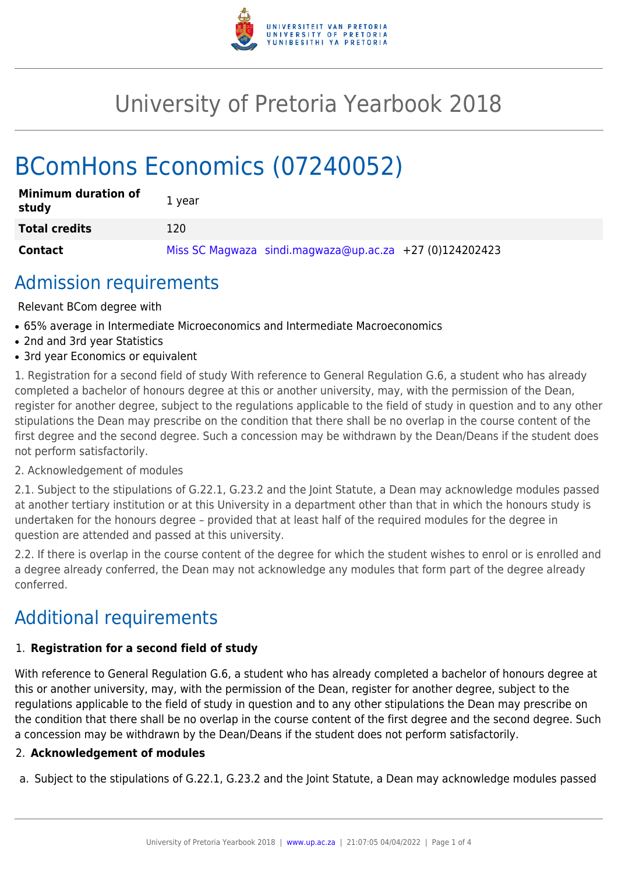

## University of Pretoria Yearbook 2018

# BComHons Economics (07240052)

| <b>Minimum duration of</b><br>study | 1 year                                                    |
|-------------------------------------|-----------------------------------------------------------|
| <b>Total credits</b>                | 120                                                       |
| <b>Contact</b>                      | Miss SC Magwaza sindi.magwaza@up.ac.za $+27$ (0)124202423 |

### Admission requirements

Relevant BCom degree with

- 65% average in Intermediate Microeconomics and Intermediate Macroeconomics
- 2nd and 3rd year Statistics
- 3rd year Economics or equivalent

1. Registration for a second field of study With reference to General Regulation G.6, a student who has already completed a bachelor of honours degree at this or another university, may, with the permission of the Dean, register for another degree, subject to the regulations applicable to the field of study in question and to any other stipulations the Dean may prescribe on the condition that there shall be no overlap in the course content of the first degree and the second degree. Such a concession may be withdrawn by the Dean/Deans if the student does not perform satisfactorily.

#### 2. Acknowledgement of modules

2.1. Subject to the stipulations of G.22.1, G.23.2 and the Joint Statute, a Dean may acknowledge modules passed at another tertiary institution or at this University in a department other than that in which the honours study is undertaken for the honours degree – provided that at least half of the required modules for the degree in question are attended and passed at this university.

2.2. If there is overlap in the course content of the degree for which the student wishes to enrol or is enrolled and a degree already conferred, the Dean may not acknowledge any modules that form part of the degree already conferred.

### Additional requirements

#### 1. **Registration for a second field of study**

With reference to General Regulation G.6, a student who has already completed a bachelor of honours degree at this or another university, may, with the permission of the Dean, register for another degree, subject to the regulations applicable to the field of study in question and to any other stipulations the Dean may prescribe on the condition that there shall be no overlap in the course content of the first degree and the second degree. Such a concession may be withdrawn by the Dean/Deans if the student does not perform satisfactorily.

#### 2. **Acknowledgement of modules**

a. Subject to the stipulations of G.22.1, G.23.2 and the Joint Statute, a Dean may acknowledge modules passed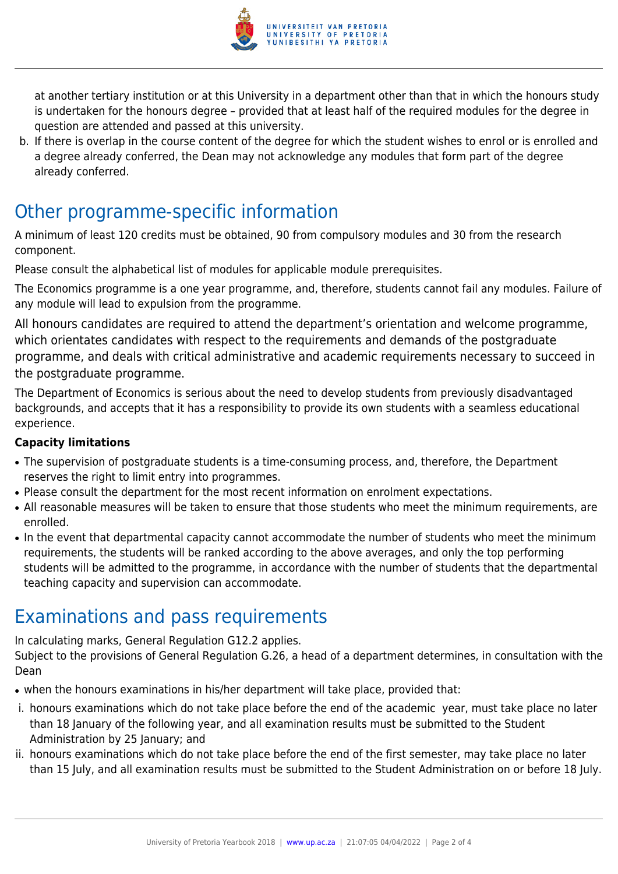

at another tertiary institution or at this University in a department other than that in which the honours study is undertaken for the honours degree – provided that at least half of the required modules for the degree in question are attended and passed at this university.

b. If there is overlap in the course content of the degree for which the student wishes to enrol or is enrolled and a degree already conferred, the Dean may not acknowledge any modules that form part of the degree already conferred.

### Other programme-specific information

A minimum of least 120 credits must be obtained, 90 from compulsory modules and 30 from the research component.

Please consult the alphabetical list of modules for applicable module prerequisites.

The Economics programme is a one year programme, and, therefore, students cannot fail any modules. Failure of any module will lead to expulsion from the programme.

All honours candidates are required to attend the department's orientation and welcome programme, which orientates candidates with respect to the requirements and demands of the postgraduate programme, and deals with critical administrative and academic requirements necessary to succeed in the postgraduate programme.

The Department of Economics is serious about the need to develop students from previously disadvantaged backgrounds, and accepts that it has a responsibility to provide its own students with a seamless educational experience.

#### **Capacity limitations**

- The supervision of postgraduate students is a time-consuming process, and, therefore, the Department reserves the right to limit entry into programmes.
- Please consult the department for the most recent information on enrolment expectations.
- All reasonable measures will be taken to ensure that those students who meet the minimum requirements, are enrolled.
- In the event that departmental capacity cannot accommodate the number of students who meet the minimum requirements, the students will be ranked according to the above averages, and only the top performing students will be admitted to the programme, in accordance with the number of students that the departmental teaching capacity and supervision can accommodate.

### Examinations and pass requirements

In calculating marks, General Regulation G12.2 applies.

Subject to the provisions of General Regulation G.26, a head of a department determines, in consultation with the Dean

- when the honours examinations in his/her department will take place, provided that:
- i. honours examinations which do not take place before the end of the academic year, must take place no later than 18 January of the following year, and all examination results must be submitted to the Student Administration by 25 January; and
- ii. honours examinations which do not take place before the end of the first semester, may take place no later than 15 July, and all examination results must be submitted to the Student Administration on or before 18 July.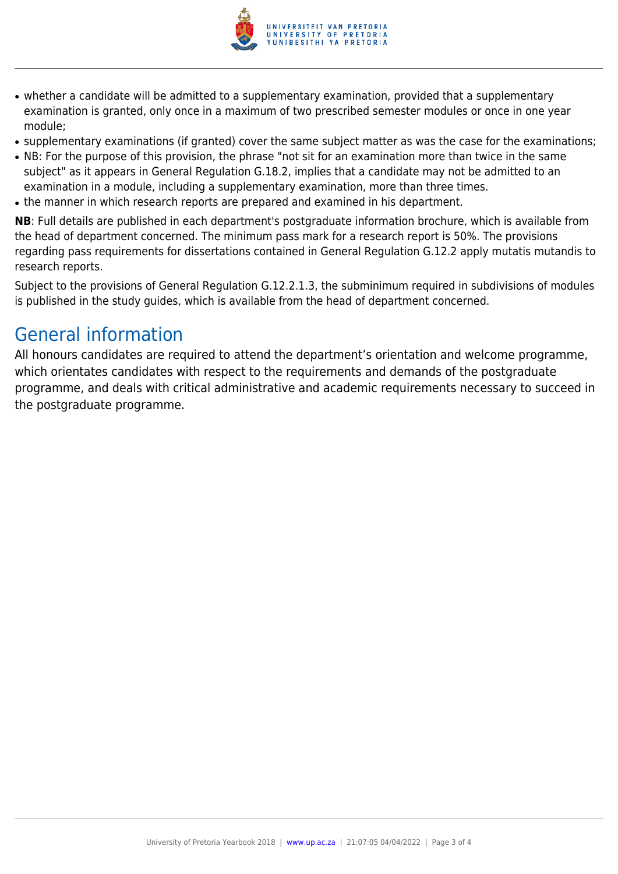

- whether a candidate will be admitted to a supplementary examination, provided that a supplementary examination is granted, only once in a maximum of two prescribed semester modules or once in one year module;
- supplementary examinations (if granted) cover the same subject matter as was the case for the examinations;
- NB: For the purpose of this provision, the phrase "not sit for an examination more than twice in the same subject" as it appears in General Regulation G.18.2, implies that a candidate may not be admitted to an examination in a module, including a supplementary examination, more than three times.
- the manner in which research reports are prepared and examined in his department.

**NB**: Full details are published in each department's postgraduate information brochure, which is available from the head of department concerned. The minimum pass mark for a research report is 50%. The provisions regarding pass requirements for dissertations contained in General Regulation G.12.2 apply mutatis mutandis to research reports.

Subject to the provisions of General Regulation G.12.2.1.3, the subminimum required in subdivisions of modules is published in the study guides, which is available from the head of department concerned.

### General information

All honours candidates are required to attend the department's orientation and welcome programme, which orientates candidates with respect to the requirements and demands of the postgraduate programme, and deals with critical administrative and academic requirements necessary to succeed in the postgraduate programme.